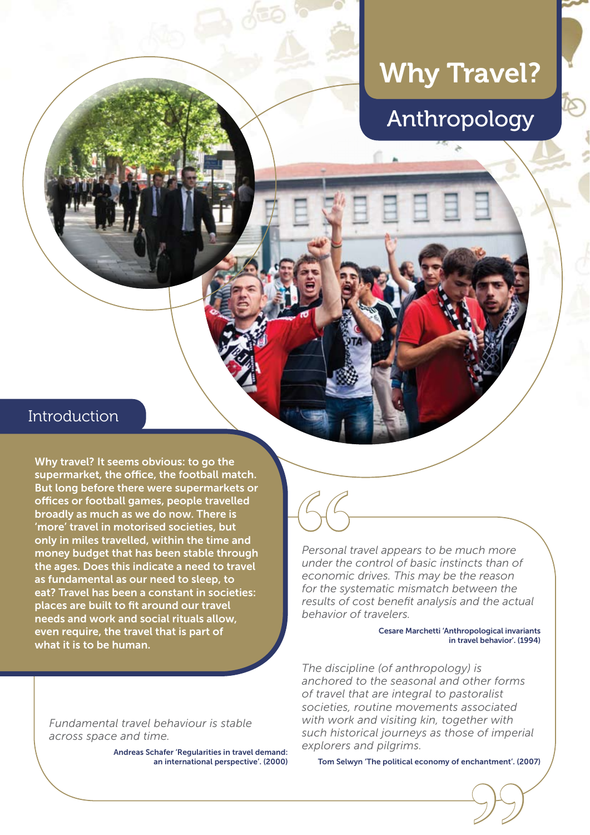# Why Travel?



# Introduction

Why travel? It seems obvious: to go the supermarket, the office, the football match. But long before there were supermarkets or offices or football games, people travelled broadly as much as we do now. There is 'more' travel in motorised societies, but only in miles travelled, within the time and money budget that has been stable through the ages. Does this indicate a need to travel as fundamental as our need to sleep, to eat? Travel has been a constant in societies: places are built to fit around our travel needs and work and social rituals allow, even require, the travel that is part of what it is to be human.

*Fundamental travel behaviour is stable across space and time.*

> Andreas Schafer 'Regularities in travel demand: an international perspective'. (2000)

**66**<br>Personal t<br>under the<br>conomic<br>for the sys *Personal travel appears to be much more under the control of basic instincts than of economic drives. This may be the reason for the systematic mismatch between the results of cost benefit analysis and the actual behavior of travelers.* 

> Cesare Marchetti 'Anthropological invariants in travel behavior'. (1994)

*The discipline (of anthropology) is anchored to the seasonal and other forms of travel that are integral to pastoralist societies, routine movements associated with work and visiting kin, together with such historical journeys as those of imperial explorers and pilgrims.* 

chantment'. (20<br> **9** Tom Selwyn 'The political economy of enchantment'. (2007)